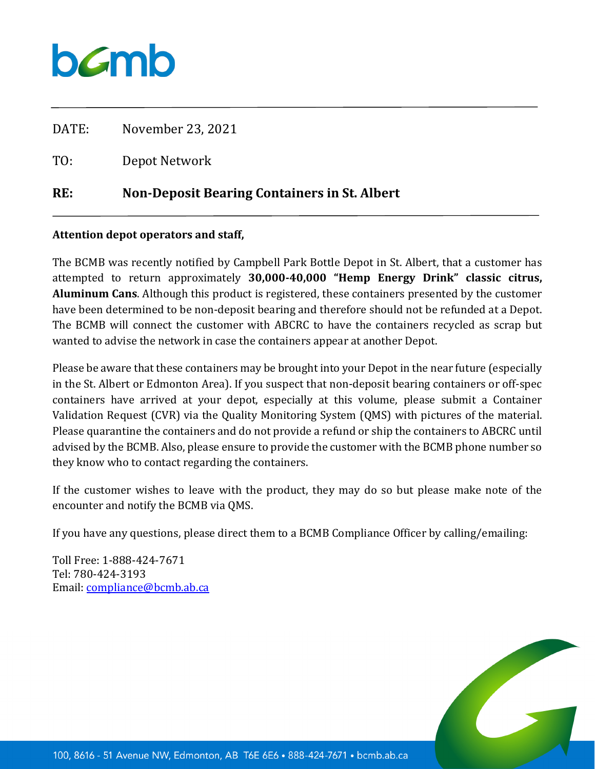## bamb

| RE:   | <b>Non-Deposit Bearing Containers in St. Albert</b> |
|-------|-----------------------------------------------------|
| TO:   | Depot Network                                       |
| DATE: | November 23, 2021                                   |

## **Attention depot operators and staff,**

The BCMB was recently notified by Campbell Park Bottle Depot in St. Albert, that a customer has attempted to return approximately **30,000-40,000 "Hemp Energy Drink" classic citrus, Aluminum Cans**. Although this product is registered, these containers presented by the customer have been determined to be non-deposit bearing and therefore should not be refunded at a Depot. The BCMB will connect the customer with ABCRC to have the containers recycled as scrap but wanted to advise the network in case the containers appear at another Depot.

Please be aware that these containers may be brought into your Depot in the near future (especially in the St. Albert or Edmonton Area). If you suspect that non-deposit bearing containers or off-spec containers have arrived at your depot, especially at this volume, please submit a Container Validation Request (CVR) via the Quality Monitoring System (QMS) with pictures of the material. Please quarantine the containers and do not provide a refund or ship the containers to ABCRC until advised by the BCMB. Also, please ensure to provide the customer with the BCMB phone number so they know who to contact regarding the containers.

If the customer wishes to leave with the product, they may do so but please make note of the encounter and notify the BCMB via QMS.

If you have any questions, please direct them to a BCMB Compliance Officer by calling/emailing:

Toll Free: 1-888-424-7671 Tel: 780-424-3193 Email: [compliance@bcmb.ab.ca](mailto:compliance@bcmb.ab.ca)